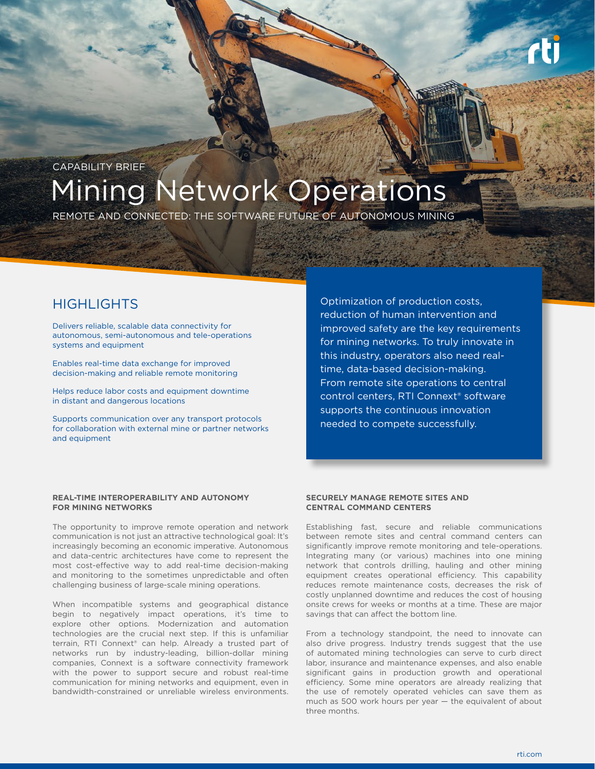

# Mining Network Operations CAPABILITY BRIEF

REMOTE AND CONNECTED: THE SOFTWARE FUTURE OF AUTONOMOUS MINING

Delivers reliable, scalable data connectivity for autonomous, semi-autonomous and tele-operations systems and equipment

Enables real-time data exchange for improved decision-making and reliable remote monitoring

Helps reduce labor costs and equipment downtime in distant and dangerous locations

Supports communication over any transport protocols for collaboration with external mine or partner networks and equipment

HIGHLIGHTS **CONSERVING CONSERVING CONSERVANCE CONSERVING CONSERVANCE CONSERVANCE CONSERVANCE CONSERVANCE CONSERVING CONSERVANCE CONSERVANCE CONSERVANCE CONSERVANCE CONSERVANCE CONSERVANCE CONSERVANCE CONSERVANCE CONSERVANC** reduction of human intervention and improved safety are the key requirements for mining networks. To truly innovate in this industry, operators also need realtime, data-based decision-making. From remote site operations to central control centers, RTI Connext® software supports the continuous innovation needed to compete successfully.

# **REAL-TIME INTEROPERABILITY AND AUTONOMY FOR MINING NETWORKS**

The opportunity to improve remote operation and network communication is not just an attractive technological goal: It's increasingly becoming an economic imperative. Autonomous and data-centric architectures have come to represent the most cost-effective way to add real-time decision-making and monitoring to the sometimes unpredictable and often challenging business of large-scale mining operations.

When incompatible systems and geographical distance begin to negatively impact operations, it's time to explore other options. Modernization and automation technologies are the crucial next step. If this is unfamiliar terrain, RTI Connext® can help. Already a trusted part of networks run by industry-leading, billion-dollar mining companies, Connext is a software connectivity framework with the power to support secure and robust real-time communication for mining networks and equipment, even in bandwidth-constrained or unreliable wireless environments.

# **SECURELY MANAGE REMOTE SITES AND CENTRAL COMMAND CENTERS**

Establishing fast, secure and reliable communications between remote sites and central command centers can significantly improve remote monitoring and tele-operations. Integrating many (or various) machines into one mining network that controls drilling, hauling and other mining equipment creates operational efficiency. This capability reduces remote maintenance costs, decreases the risk of costly unplanned downtime and reduces the cost of housing onsite crews for weeks or months at a time. These are major savings that can affect the bottom line.

From a technology standpoint, the need to innovate can also drive progress. Industry trends suggest that the use of automated mining technologies can serve to curb direct labor, insurance and maintenance expenses, and also enable significant gains in production growth and operational efficiency. Some mine operators are already realizing that the use of remotely operated vehicles can save them as much as 500 work hours per year — the equivalent of about three months.